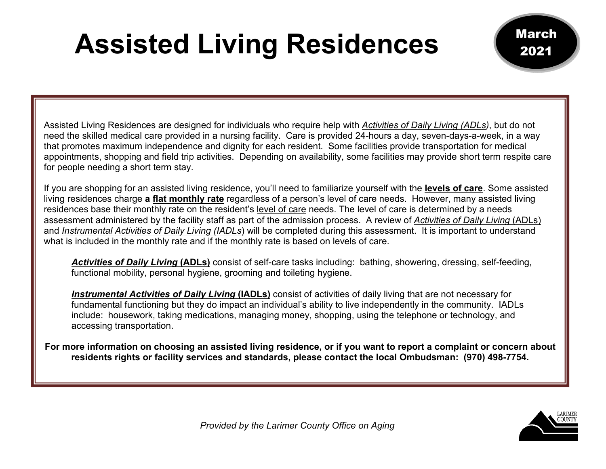## **Assisted Living Residences**

Assisted Living Residences are designed for individuals who require help with *Activities of Daily Living (ADLs)*, but do not need the skilled medical care provided in a nursing facility. Care is provided 24-hours a day, seven-days-a-week, in a way that promotes maximum independence and dignity for each resident. Some facilities provide transportation for medical appointments, shopping and field trip activities. Depending on availability, some facilities may provide short term respite care for people needing a short term stay.

If you are shopping for an assisted living residence, you'll need to familiarize yourself with the **levels of care**. Some assisted living residences charge **a flat monthly rate** regardless of a person's level of care needs. However, many assisted living residences base their monthly rate on the resident's level of care needs. The level of care is determined by a needs assessment administered by the facility staff as part of the admission process. A review of *Activities of Daily Living* (ADLs) and *Instrumental Activities of Daily Living (IADLs*) will be completed during this assessment. It is important to understand what is included in the monthly rate and if the monthly rate is based on levels of care.

*Activities of Daily Living* **(ADLs)** consist of self-care tasks including: bathing, showering, dressing, self-feeding, functional mobility, personal hygiene, grooming and toileting hygiene.

*Instrumental Activities of Daily Living* **(IADLs)** consist of activities of daily living that are not necessary for fundamental functioning but they do impact an individual's ability to live independently in the community. IADLs include: housework, taking medications, managing money, shopping, using the telephone or technology, and accessing transportation.

**For more information on choosing an assisted living residence, or if you want to report a complaint or concern about residents rights or facility services and standards, please contact the local Ombudsman: (970) 498-7754.**



March

2021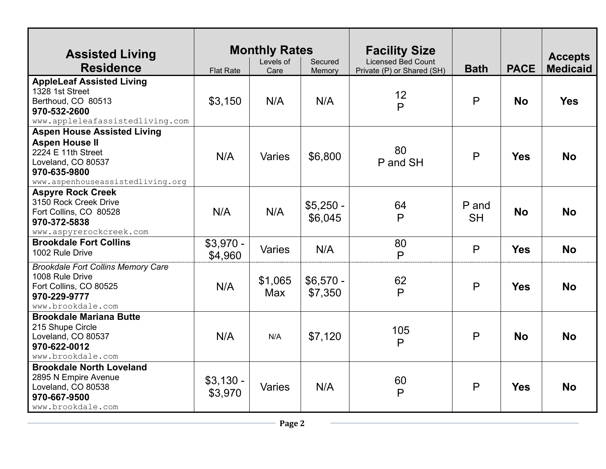| <b>Assisted Living</b><br><b>Residence</b>                                                                                                                  | <b>Flat Rate</b>      | <b>Monthly Rates</b><br>Levels of<br>Care | Secured<br>Memory     | <b>Facility Size</b><br><b>Licensed Bed Count</b><br>Private (P) or Shared (SH) | <b>Bath</b>        | <b>PACE</b> | <b>Accepts</b><br><b>Medicaid</b> |
|-------------------------------------------------------------------------------------------------------------------------------------------------------------|-----------------------|-------------------------------------------|-----------------------|---------------------------------------------------------------------------------|--------------------|-------------|-----------------------------------|
| <b>AppleLeaf Assisted Living</b><br>1328 1st Street<br>Berthoud, CO 80513<br>970-532-2600<br>www.appleleafassistedliving.com                                | \$3,150               | N/A                                       | N/A                   | 12<br>$\mathsf{P}$                                                              | $\mathsf{P}$       | <b>No</b>   | <b>Yes</b>                        |
| <b>Aspen House Assisted Living</b><br><b>Aspen House II</b><br>2224 E 11th Street<br>Loveland, CO 80537<br>970-635-9800<br>www.aspenhouseassistedliving.org | N/A                   | Varies                                    | \$6,800               | 80<br>P and SH                                                                  | P                  | <b>Yes</b>  | <b>No</b>                         |
| <b>Aspyre Rock Creek</b><br>3150 Rock Creek Drive<br>Fort Collins, CO 80528<br>970-372-5838<br>www.aspyrerockcreek.com                                      | N/A                   | N/A                                       | $$5,250 -$<br>\$6,045 | 64<br>$\mathsf{P}$                                                              | P and<br><b>SH</b> | <b>No</b>   | <b>No</b>                         |
| <b>Brookdale Fort Collins</b><br>1002 Rule Drive                                                                                                            | $$3,970 -$<br>\$4,960 | Varies                                    | N/A                   | 80<br>$\mathsf{P}$                                                              | P                  | <b>Yes</b>  | <b>No</b>                         |
| <b>Brookdale Fort Collins Memory Care</b><br>1008 Rule Drive<br>Fort Collins, CO 80525<br>970-229-9777<br>www.brookdale.com                                 | N/A                   | \$1,065<br>Max                            | $$6,570 -$<br>\$7,350 | 62<br>P                                                                         | $\mathsf{P}$       | <b>Yes</b>  | <b>No</b>                         |
| <b>Brookdale Mariana Butte</b><br>215 Shupe Circle<br>Loveland, CO 80537<br>970-622-0012<br>www.brookdale.com                                               | N/A                   | N/A                                       | \$7,120               | 105<br>$\mathsf{P}$                                                             | P                  | <b>No</b>   | <b>No</b>                         |
| <b>Brookdale North Loveland</b><br>2895 N Empire Avenue<br>Loveland, CO 80538<br>970-667-9500<br>www.brookdale.com                                          | $$3,130 -$<br>\$3,970 | Varies                                    | N/A                   | 60<br>$\mathsf{P}$                                                              | $\mathsf{P}$       | <b>Yes</b>  | <b>No</b>                         |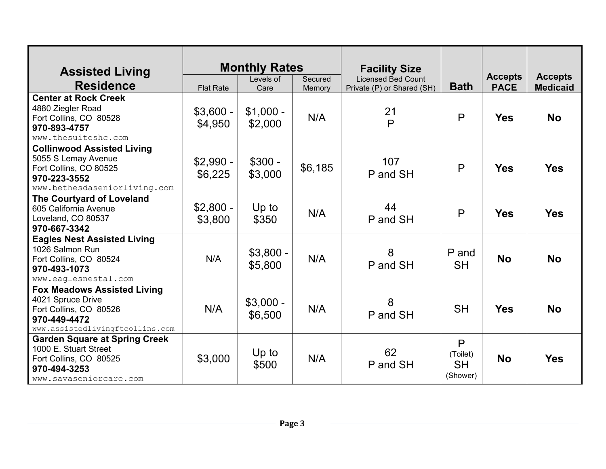| <b>Assisted Living</b>                                                                                                               |                       | <b>Monthly Rates</b>  |                   | <b>Facility Size</b>                                    |                                        |                               |                                   |
|--------------------------------------------------------------------------------------------------------------------------------------|-----------------------|-----------------------|-------------------|---------------------------------------------------------|----------------------------------------|-------------------------------|-----------------------------------|
| <b>Residence</b>                                                                                                                     | <b>Flat Rate</b>      | Levels of<br>Care     | Secured<br>Memory | <b>Licensed Bed Count</b><br>Private (P) or Shared (SH) | <b>Bath</b>                            | <b>Accepts</b><br><b>PACE</b> | <b>Accepts</b><br><b>Medicaid</b> |
| <b>Center at Rock Creek</b><br>4880 Ziegler Road<br>Fort Collins, CO 80528<br>970-893-4757<br>www.thesuiteshc.com                    | $$3,600 -$<br>\$4,950 | $$1,000 -$<br>\$2,000 | N/A               | 21<br>$\mathsf{P}$                                      | $\mathsf{P}$                           | <b>Yes</b>                    | <b>No</b>                         |
| <b>Collinwood Assisted Living</b><br>5055 S Lemay Avenue<br>Fort Collins, CO 80525<br>970-223-3552<br>www.bethesdaseniorliving.com   | $$2,990 -$<br>\$6,225 | $$300 -$<br>\$3,000   | \$6,185           | 107<br>P and SH                                         | $\mathsf{P}$                           | <b>Yes</b>                    | <b>Yes</b>                        |
| <b>The Courtyard of Loveland</b><br>605 California Avenue<br>Loveland, CO 80537<br>970-667-3342                                      | $$2,800 -$<br>\$3,800 | Up to<br>\$350        | N/A               | 44<br>P and SH                                          | P                                      | <b>Yes</b>                    | <b>Yes</b>                        |
| <b>Eagles Nest Assisted Living</b><br>1026 Salmon Run<br>Fort Collins, CO 80524<br>970-493-1073<br>www.eaglesnestal.com              | N/A                   | $$3,800 -$<br>\$5,800 | N/A               | 8<br>P and SH                                           | P and<br><b>SH</b>                     | <b>No</b>                     | <b>No</b>                         |
| <b>Fox Meadows Assisted Living</b><br>4021 Spruce Drive<br>Fort Collins, CO 80526<br>970-449-4472<br>www.assistedlivingftcollins.com | N/A                   | $$3,000 -$<br>\$6,500 | N/A               | 8<br>P and SH                                           | <b>SH</b>                              | <b>Yes</b>                    | <b>No</b>                         |
| <b>Garden Square at Spring Creek</b><br>1000 E. Stuart Street<br>Fort Collins, CO 80525<br>970-494-3253<br>www.savaseniorcare.com    | \$3,000               | Up to<br>\$500        | N/A               | 62<br>P and SH                                          | P<br>(Toilet)<br><b>SH</b><br>(Shower) | <b>No</b>                     | <b>Yes</b>                        |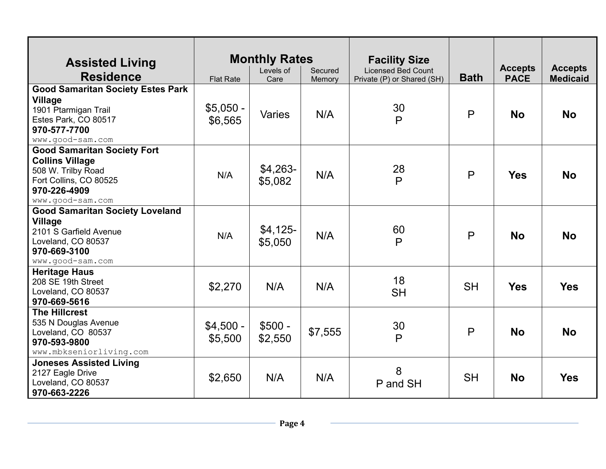| <b>Assisted Living</b><br><b>Residence</b>                                                                                                       | <b>Flat Rate</b>      | <b>Monthly Rates</b><br>Levels of<br>Care | Secured<br>Memory | <b>Facility Size</b><br><b>Licensed Bed Count</b><br>Private (P) or Shared (SH) | <b>Bath</b> | <b>Accepts</b><br><b>PACE</b> | <b>Accepts</b><br><b>Medicaid</b> |
|--------------------------------------------------------------------------------------------------------------------------------------------------|-----------------------|-------------------------------------------|-------------------|---------------------------------------------------------------------------------|-------------|-------------------------------|-----------------------------------|
| <b>Good Samaritan Society Estes Park</b><br>Village<br>1901 Ptarmigan Trail<br>Estes Park, CO 80517<br>970-577-7700<br>www.good-sam.com          | $$5,050 -$<br>\$6,565 | <b>Varies</b>                             | N/A               | 30<br>P                                                                         | P           | <b>No</b>                     | <b>No</b>                         |
| <b>Good Samaritan Society Fort</b><br><b>Collins Village</b><br>508 W. Trilby Road<br>Fort Collins, CO 80525<br>970-226-4909<br>www.good-sam.com | N/A                   | $$4,263-$<br>\$5,082                      | N/A               | 28<br>P                                                                         | P           | <b>Yes</b>                    | <b>No</b>                         |
| <b>Good Samaritan Society Loveland</b><br>Village<br>2101 S Garfield Avenue<br>Loveland, CO 80537<br>970-669-3100<br>www.good-sam.com            | N/A                   | $$4,125-$<br>\$5,050                      | N/A               | 60<br>P                                                                         | P           | <b>No</b>                     | <b>No</b>                         |
| <b>Heritage Haus</b><br>208 SE 19th Street<br>Loveland, CO 80537<br>970-669-5616                                                                 | \$2,270               | N/A                                       | N/A               | 18<br><b>SH</b>                                                                 | <b>SH</b>   | <b>Yes</b>                    | <b>Yes</b>                        |
| <b>The Hillcrest</b><br>535 N Douglas Avenue<br>Loveland, CO 80537<br>970-593-9800<br>www.mbkseniorliving.com                                    | $$4,500 -$<br>\$5,500 | $$500 -$<br>\$2,550                       | \$7,555           | 30<br>P                                                                         | P           | <b>No</b>                     | <b>No</b>                         |
| <b>Joneses Assisted Living</b><br>2127 Eagle Drive<br>Loveland, CO 80537<br>970-663-2226                                                         | \$2,650               | N/A                                       | N/A               | 8<br>P and SH                                                                   | <b>SH</b>   | <b>No</b>                     | <b>Yes</b>                        |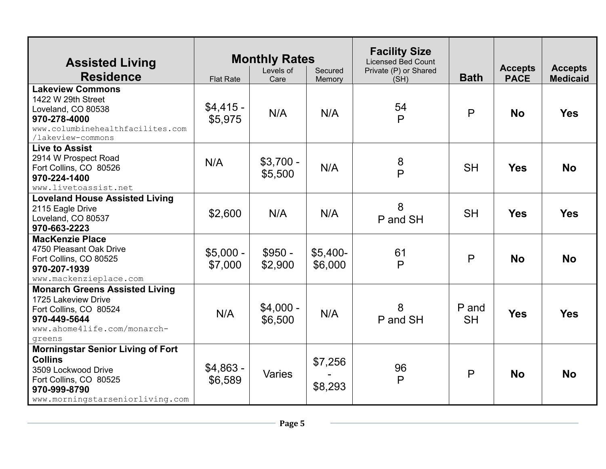| <b>Assisted Living</b><br><b>Residence</b>                                                                                                                     | <b>Flat Rate</b>      | <b>Monthly Rates</b><br>Levels of<br>Care | Secured<br>Memory    | <b>Facility Size</b><br><b>Licensed Bed Count</b><br>Private (P) or Shared<br>(SH) | <b>Bath</b>        | <b>Accepts</b><br><b>PACE</b> | <b>Accepts</b><br><b>Medicaid</b> |
|----------------------------------------------------------------------------------------------------------------------------------------------------------------|-----------------------|-------------------------------------------|----------------------|------------------------------------------------------------------------------------|--------------------|-------------------------------|-----------------------------------|
| <b>Lakeview Commons</b><br>1422 W 29th Street<br>Loveland, CO 80538<br>970-278-4000<br>www.columbinehealthfacilites.com<br>/lakeview-commons                   | $$4,415-$<br>\$5,975  | N/A                                       | N/A                  | 54<br>$\mathsf{P}$                                                                 | $\mathsf{P}$       | <b>No</b>                     | <b>Yes</b>                        |
| <b>Live to Assist</b><br>2914 W Prospect Road<br>Fort Collins, CO 80526<br>970-224-1400<br>www.livetoassist.net                                                | N/A                   | $$3,700 -$<br>\$5,500                     | N/A                  | 8<br>$\mathsf{P}$                                                                  | <b>SH</b>          | <b>Yes</b>                    | <b>No</b>                         |
| <b>Loveland House Assisted Living</b><br>2115 Eagle Drive<br>Loveland, CO 80537<br>970-663-2223                                                                | \$2,600               | N/A                                       | N/A                  | 8<br>P and SH                                                                      | <b>SH</b>          | <b>Yes</b>                    | <b>Yes</b>                        |
| <b>MacKenzie Place</b><br>4750 Pleasant Oak Drive<br>Fort Collins, CO 80525<br>970-207-1939<br>www.mackenzieplace.com                                          | $$5,000 -$<br>\$7,000 | $$950 -$<br>\$2,900                       | $$5,400-$<br>\$6,000 | 61<br>$\mathsf{P}$                                                                 | P                  | <b>No</b>                     | <b>No</b>                         |
| <b>Monarch Greens Assisted Living</b><br>1725 Lakeview Drive<br>Fort Collins, CO 80524<br>970-449-5644<br>www.ahome4life.com/monarch-<br>greens                | N/A                   | $$4,000 -$<br>\$6,500                     | N/A                  | 8<br>P and SH                                                                      | P and<br><b>SH</b> | <b>Yes</b>                    | <b>Yes</b>                        |
| <b>Morningstar Senior Living of Fort</b><br><b>Collins</b><br>3509 Lockwood Drive<br>Fort Collins, CO 80525<br>970-999-8790<br>www.morningstarseniorliving.com | $$4,863 -$<br>\$6,589 | Varies                                    | \$7,256<br>\$8,293   | 96<br>P                                                                            | P                  | <b>No</b>                     | <b>No</b>                         |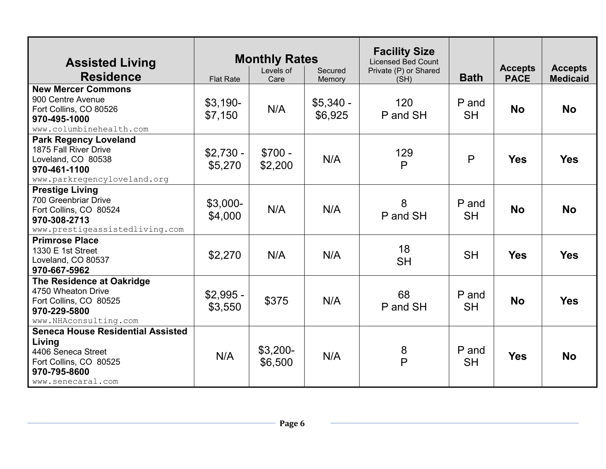| <b>Assisted Living</b>                                                                                                                  | <b>Monthly Rates</b>  |                      |                       | <b>Facility Size</b><br><b>Licensed Bed Count</b> |                    | <b>Accepts</b> | <b>Accepts</b>  |
|-----------------------------------------------------------------------------------------------------------------------------------------|-----------------------|----------------------|-----------------------|---------------------------------------------------|--------------------|----------------|-----------------|
| <b>Residence</b>                                                                                                                        | <b>Flat Rate</b>      | Levels of<br>Care    | Secured<br>Memory     | Private (P) or Shared<br>(SH)                     | <b>Bath</b>        | <b>PACE</b>    | <b>Medicaid</b> |
| <b>New Mercer Commons</b><br>900 Centre Avenue<br>Fort Collins, CO 80526<br>970-495-1000<br>www.columbinehealth.com                     | $$3,190-$<br>\$7,150  | N/A                  | $$5,340 -$<br>\$6,925 | 120<br>P and SH                                   | P and<br><b>SH</b> | <b>No</b>      | <b>No</b>       |
| <b>Park Regency Loveland</b><br>1875 Fall River Drive<br>Loveland, CO 80538<br>970-461-1100<br>www.parkregencyloveland.org              | $$2,730 -$<br>\$5,270 | $$700 -$<br>\$2,200  | N/A                   | 129<br>$\mathsf{P}$                               | $\mathsf{P}$       | <b>Yes</b>     | <b>Yes</b>      |
| <b>Prestige Living</b><br>700 Greenbriar Drive<br>Fort Collins, CO 80524<br>970-308-2713<br>www.prestigeassistedliving.com              | $$3,000-$<br>\$4,000  | N/A                  | N/A                   | 8<br>P and SH                                     | P and<br><b>SH</b> | <b>No</b>      | <b>No</b>       |
| <b>Primrose Place</b><br>1330 E 1st Street<br>Loveland, CO 80537<br>970-667-5962                                                        | \$2,270               | N/A                  | N/A                   | 18<br><b>SH</b>                                   | <b>SH</b>          | <b>Yes</b>     | <b>Yes</b>      |
| The Residence at Oakridge<br>4750 Wheaton Drive<br>Fort Collins, CO 80525<br>970-229-5800<br>www.NHAconsulting.com                      | $$2,995 -$<br>\$3,550 | \$375                | N/A                   | 68<br>P and SH                                    | P and<br><b>SH</b> | <b>No</b>      | <b>Yes</b>      |
| <b>Seneca House Residential Assisted</b><br>Living<br>4406 Seneca Street<br>Fort Collins, CO 80525<br>970-795-8600<br>www.senecaral.com | N/A                   | $$3,200-$<br>\$6,500 | N/A                   | 8<br>P                                            | P and<br><b>SH</b> | <b>Yes</b>     | <b>No</b>       |